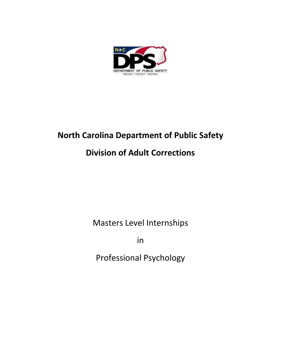

# **North Carolina Department of Public Safety**

# **Division of Adult Corrections**

Masters Level Internships

in

Professional Psychology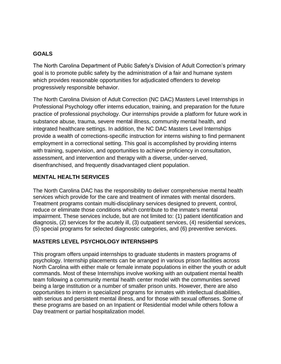#### **GOALS**

The North Carolina Department of Public Safety's Division of Adult Correction's primary goal is to promote public safety by the administration of a fair and humane system which provides reasonable opportunities for adjudicated offenders to develop progressively responsible behavior.

The North Carolina Division of Adult Correction (NC DAC) Masters Level Internships in Professional Psychology offer interns education, training, and preparation for the future practice of professional psychology. Our internships provide a platform for future work in substance abuse, trauma, severe mental illness, community mental health, and integrated healthcare settings. In addition, the NC DAC Masters Level Internships provide a wealth of corrections-specific instruction for interns wishing to find permanent employment in a correctional setting. This goal is accomplished by providing interns with training, supervision, and opportunities to achieve proficiency in consultation, assessment, and intervention and therapy with a diverse, under-served, disenfranchised, and frequently disadvantaged client population.

### **MENTAL HEALTH SERVICES**

The North Carolina DAC has the responsibility to deliver comprehensive mental health services which provide for the care and treatment of inmates with mental disorders. Treatment programs contain multi-disciplinary services designed to prevent, control, reduce or eliminate those conditions which contribute to the inmate's mental impairment. These services include, but are not limited to: (1) patient identification and diagnosis, (2) services for the acutely ill, (3) outpatient services, (4) residential services, (5) special programs for selected diagnostic categories, and (6) preventive services.

## **MASTERS LEVEL PSYCHOLOGY INTERNSHIPS**

This program offers unpaid internships to graduate students in masters programs of psychology. Internship placements can be arranged in various prison facilities across North Carolina with either male or female inmate populations in either the youth or adult commands. Most of these Internships involve working with an outpatient mental health team following a community mental health center model with the communities served being a large institution or a number of smaller prison units. However, there are also opportunities to intern in specialized programs for inmates with intellectual disabilities, with serious and persistent mental illness, and for those with sexual offenses. Some of these programs are based on an Inpatient or Residential model while others follow a Day treatment or partial hospitalization model.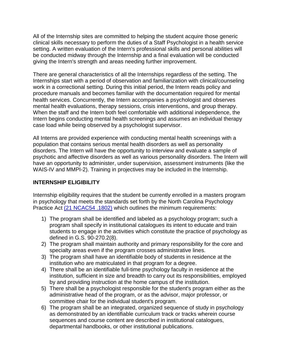All of the Internship sites are committed to helping the student acquire those generic clinical skills necessary to perform the duties of a Staff Psychologist in a health service setting. A written evaluation of the Intern's professional skills and personal abilities will be conducted midway through the Internship and a final evaluation will be conducted giving the Intern's strength and areas needing further improvement.

There are general characteristics of all the Internships regardless of the setting. The Internships start with a period of observation and familiarization with clinical/counseling work in a correctional setting. During this initial period, the Intern reads policy and procedure manuals and becomes familiar with the documentation required for mental health services. Concurrently, the Intern accompanies a psychologist and observes mental health evaluations, therapy sessions, crisis interventions, and group therapy. When the staff and the Intern both feel comfortable with additional independence, the Intern begins conducting mental health screenings and assumes an individual therapy case load while being observed by a psychologist supervisor.

All Interns are provided experience with conducting mental health screenings with a population that contains serious mental health disorders as well as personality disorders. The Intern will have the opportunity to interview and evaluate a sample of psychotic and affective disorders as well as various personality disorders. The Intern will have an opportunity to administer, under supervision, assessment instruments (like the WAIS-IV and MMPI-2). Training in projectives may be included in the Internship.

#### **INTERNSHIP ELIGIBILITY**

Internship eligibility requires that the student be currently enrolled in a masters program in psychology that meets the standards set forth by the North Carolina Psychology Practice Act [\(21 NCAC54 .1802\)](http://www.ncpsychologyboard.org/Office/PDFiles/PRACACT.pdf) which outlines the minimum requirements:

- 1) The program shall be identified and labeled as a psychology program; such a program shall specify in institutional catalogues its intent to educate and train students to engage in the activities which constitute the practice of psychology as defined in G.S. 90-270.2(8).
- 2) The program shall maintain authority and primary responsibility for the core and specialty areas even if the program crosses administrative lines.
- 3) The program shall have an identifiable body of students in residence at the institution who are matriculated in that program for a degree.
- 4) There shall be an identifiable full-time psychology faculty in residence at the institution, sufficient in size and breadth to carry out its responsibilities, employed by and providing instruction at the home campus of the institution.
- 5) There shall be a psychologist responsible for the student's program either as the administrative head of the program, or as the advisor, major professor, or committee chair for the individual student's program.
- 6) The program shall be an integrated, organized sequence of study in psychology as demonstrated by an identifiable curriculum track or tracks wherein course sequences and course content are described in institutional catalogues, departmental handbooks, or other institutional publications.